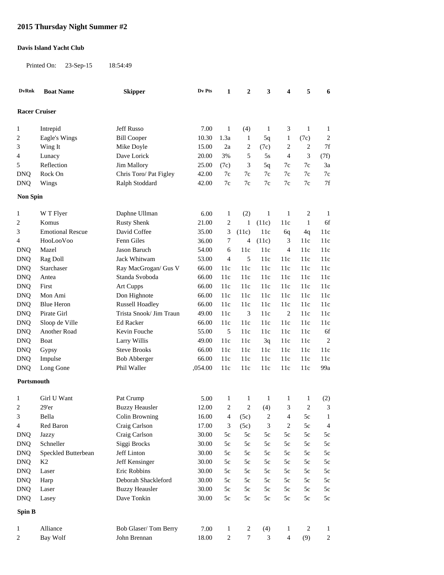## **2015 Thursday Night Summer #2**

## **Davis Island Yacht Club**

Printed On: 23-Sep-15 18:54:49

| <b>DvRnk</b>         | <b>Boat Name</b>        | <b>Skipper</b>          | Dv Pts  | $\mathbf{1}$   | $\boldsymbol{2}$ | 3             | 4              | 5              | 6                |
|----------------------|-------------------------|-------------------------|---------|----------------|------------------|---------------|----------------|----------------|------------------|
| <b>Racer Cruiser</b> |                         |                         |         |                |                  |               |                |                |                  |
| 1                    | Intrepid                | <b>Jeff Russo</b>       | 7.00    | $\mathbf{1}$   | (4)              | $\mathbf{1}$  | 3              | $\mathbf{1}$   | $\mathbf{1}$     |
| 2                    | Eagle's Wings           | <b>Bill Cooper</b>      | 10.30   | 1.3a           | 1                | 5q            | $\mathbf{1}$   | (7c)           | $\overline{c}$   |
| 3                    | Wing It                 | Mike Doyle              | 15.00   | 2a             | 2                | (7c)          | $\overline{c}$ | $\overline{2}$ | 7f               |
| 4                    | Lunacy                  | Dave Lorick             | 20.00   | 3%             | 5                | 5s            | $\overline{4}$ | 3              | (7f)             |
| 5                    | Reflection              | <b>Jim Mallory</b>      | 25.00   | (7c)           | 3                | 5q            | 7c             | 7c             | 3a               |
| <b>DNQ</b>           | Rock On                 | Chris Toro/ Pat Figley  | 42.00   | 7c             | 7c               | 7c            | 7c             | 7c             | $7\mathrm{c}$    |
| <b>DNQ</b>           | Wings                   | Ralph Stoddard          | 42.00   | 7c             | 7c               | 7c            | $7c$           | 7c             | $7f$             |
| <b>Non Spin</b>      |                         |                         |         |                |                  |               |                |                |                  |
| 1                    | W T Flyer               | Daphne Ullman           | 6.00    | $\mathbf{1}$   | (2)              | $\mathbf{1}$  | $\mathbf{1}$   | $\sqrt{2}$     | $\mathbf{1}$     |
| 2                    | Komus                   | <b>Rusty Shenk</b>      | 21.00   | $\overline{c}$ | 1                | (11c)         | 11c            | $\mathbf{1}$   | 6f               |
| 3                    | <b>Emotional Rescue</b> | David Coffee            | 35.00   | 3              | (11c)            | 11c           | 6q             | 4q             | 11c              |
| 4                    | HooLooVoo               | Fenn Giles              | 36.00   | 7              | 4                | (11c)         | 3              | 11c            | 11c              |
| <b>DNQ</b>           | Mazel                   | Jason Baruch            | 54.00   | 6              | 11c              | 11c           | 4              | 11c            | 11c              |
| <b>DNQ</b>           | Rag Doll                | Jack Whitwam            | 53.00   | 4              | 5                | 11c           | 11c            | 11c            | 11c              |
| <b>DNQ</b>           | Starchaser              | Ray MacGrogan/ Gus V    | 66.00   | 11c            | 11c              | 11c           | 11c            | 11c            | 11c              |
| <b>DNQ</b>           | Antea                   | Standa Svoboda          | 66.00   | 11c            | 11c              | 11c           | 11c            | 11c            | 11c              |
| <b>DNQ</b>           | First                   | <b>Art Cupps</b>        | 66.00   | 11c            | 11c              | 11c           | 11c            | 11c            | 11c              |
| <b>DNQ</b>           | Mon Ami                 | Don Highnote            | 66.00   | 11c            | 11c              | 11c           | 11c            | 11c            | 11c              |
| <b>DNQ</b>           | <b>Blue Heron</b>       | <b>Russell Hoadley</b>  | 66.00   | 11c            | 11c              | 11c           | 11c            | 11c            | 11c              |
| <b>DNQ</b>           | Pirate Girl             | Trista Snook/ Jim Traun | 49.00   | 11c            | 3                | 11c           | $\overline{c}$ | 11c            | 11c              |
| <b>DNQ</b>           | Sloop de Ville          | <b>Ed Racker</b>        | 66.00   | 11c            | 11c              | 11c           | 11c            | 11c            | 11c              |
| <b>DNQ</b>           | Another Road            | Kevin Fouche            | 55.00   | 5              | 11c              | 11c           | 11c            | 11c            | 6f               |
| <b>DNQ</b>           | Boat                    | Larry Willis            | 49.00   | 11c            | 11c              | 3q            | 11c            | 11c            | $\overline{c}$   |
| <b>DNQ</b>           | Gypsy                   | <b>Steve Brooks</b>     | 66.00   | 11c            | 11c              | 11c           | 11c            | 11c            | 11c              |
| <b>DNQ</b>           | Impulse                 | <b>Bob Abberger</b>     | 66.00   | 11c            | 11c              | 11c           | 11c            | 11c            | 11c              |
| <b>DNQ</b>           | Long Gone               | Phil Waller             | ,054.00 | 11c            | 11c              | 11c           | 11c            | 11c            | 99a              |
| Portsmouth           |                         |                         |         |                |                  |               |                |                |                  |
| 1                    | Girl U Want             | Pat Crump               | 5.00    | 1              | 1                | 1             | 1              | $\mathbf{1}$   | (2)              |
| 2                    | 29'er                   | <b>Buzzy Heausler</b>   | 12.00   | $\overline{c}$ | $\overline{c}$   | (4)           | 3              | $\overline{2}$ | 3                |
| 3                    | Bella                   | Colin Browning          | 16.00   | 4              | (5c)             | $\sqrt{2}$    | $\overline{4}$ | $5\mathrm{c}$  | $\mathbf{1}$     |
| 4                    | Red Baron               | Craig Carlson           | 17.00   | 3              | (5c)             | 3             | $\sqrt{2}$     | $5c$           | $\overline{4}$   |
| <b>DNQ</b>           | Jazzy                   | Craig Carlson           | 30.00   | 5c             | $5\mathrm{c}$    | $5\mathrm{c}$ | 5c             | $5\mathrm{c}$  | $5\mathrm{c}$    |
| <b>DNQ</b>           | Schneller               | Siggi Brocks            | 30.00   | $5c$           | $5\mathrm{c}$    | $5\mathrm{c}$ | $5\mathrm{c}$  | $5c$           | $5\mathrm{c}$    |
| <b>DNQ</b>           | Speckled Butterbean     | Jeff Linton             | 30.00   | 5c             | 5c               | 5c            | 5c             | 5c             | $5\mathrm{c}$    |
| <b>DNQ</b>           | K <sub>2</sub>          | Jeff Kensinger          | 30.00   | 5c             | 5c               | 5c            | 5c             | 5c             | $5\mathrm{c}$    |
| <b>DNQ</b>           | Laser                   | Eric Robbins            | 30.00   | 5c             | 5c               | 5c            | 5c             | 5c             | $5\mathrm{c}$    |
| <b>DNQ</b>           | Harp                    | Deborah Shackleford     | 30.00   | 5c             | 5c               | 5c            | 5c             | 5c             | $5\mathrm{c}$    |
| <b>DNQ</b>           | Laser                   | <b>Buzzy Heausler</b>   | 30.00   | $5\mathrm{c}$  | 5c               | 5c            | 5c             | 5c             | $5\mathrm{c}$    |
| <b>DNQ</b>           | Lasey                   | Dave Tonkin             | 30.00   | $5\mathrm{c}$  | 5c               | $5\mathrm{c}$ | $5\mathrm{c}$  | 5c             | $5\mathrm{c}$    |
| Spin B               |                         |                         |         |                |                  |               |                |                |                  |
| 1                    | Alliance                | Bob Glaser/Tom Berry    | 7.00    | $\mathbf{1}$   | $\sqrt{2}$       | (4)           | $\mathbf{1}$   | $\overline{c}$ | $\mathbf{1}$     |
| 2                    | Bay Wolf                | John Brennan            | 18.00   | $\sqrt{2}$     | $\boldsymbol{7}$ | 3             | $\overline{4}$ | (9)            | $\boldsymbol{2}$ |
|                      |                         |                         |         |                |                  |               |                |                |                  |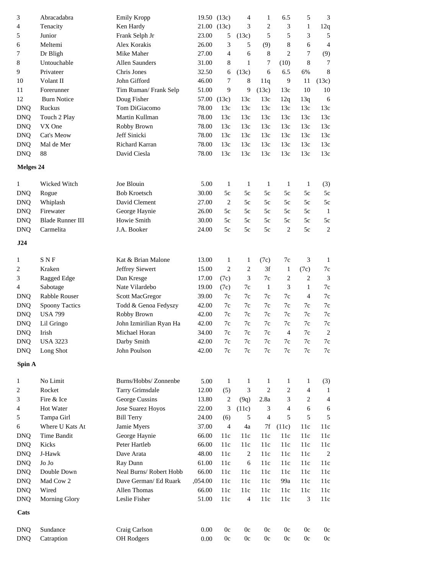| 3                       | Abracadabra             | <b>Emily Kropp</b>      |         | 19.50 (13c)    | 4              | $\mathbf{1}$   | 6.5          | 5              | 3                |
|-------------------------|-------------------------|-------------------------|---------|----------------|----------------|----------------|--------------|----------------|------------------|
| 4                       | Tenacity                | Ken Hardy               | 21.00   | (13c)          | 3              | $\overline{c}$ | 3            | 1              | 12q              |
| 5                       | Junior                  | Frank Selph Jr          | 23.00   | 5              | (13c)          | 5              | 5            | 3              | 5                |
| 6                       | Meltemi                 | Alex Korakis            | 26.00   | 3              | 5              | (9)            | $\,8\,$      | 6              | 4                |
| 7                       | Dr Bligh                | Mike Maher              | 27.00   | $\overline{4}$ | 6              | 8              | 2            | 7              | (9)              |
| 8                       | Untouchable             | Allen Saunders          | 31.00   | 8              | 1              | 7              | (10)         | 8              | 7                |
| 9                       | Privateer               | Chris Jones             | 32.50   | 6              | (13c)          | 6              | 6.5          | 6%             | 8                |
| 10                      | Volant II               | John Gifford            | 46.00   | 7              | 8              | 11q            | 9            | 11             | (13c)            |
| 11                      | Forerunner              | Tim Ruman/Frank Selp    | 51.00   | 9              | 9              | (13c)          | 13c          | 10             | 10               |
| 12                      | <b>Burn Notice</b>      | Doug Fisher             | 57.00   | (13c)          | 13c            | 13c            | 12q          | 13q            | 6                |
|                         | Ruckus                  | Tom DiGiacomo           | 78.00   | 13c            | 13c            | 13c            | 13c          | 13c            | 13c              |
| <b>DNQ</b>              |                         |                         |         |                |                |                |              |                |                  |
| <b>DNQ</b>              | Touch 2 Play            | Martin Kullman          | 78.00   | 13c            | 13c            | 13c            | 13c          | 13c            | 13c              |
| <b>DNQ</b>              | VX One                  | Robby Brown             | 78.00   | 13c            | 13c            | 13c            | 13c          | 13c            | 13c              |
| <b>DNQ</b>              | Cat's Meow              | Jeff Sinicki            | 78.00   | 13c            | 13c            | 13c            | 13c          | 13c            | 13c              |
| <b>DNQ</b>              | Mal de Mer              | Richard Karran          | 78.00   | 13c            | 13c            | 13c            | 13c          | 13c            | 13c              |
| <b>DNQ</b>              | 88                      | David Ciesla            | 78.00   | 13c            | 13c            | 13c            | 13c          | 13c            | 13c              |
|                         | <b>Melges 24</b>        |                         |         |                |                |                |              |                |                  |
| 1                       | Wicked Witch            | Joe Blouin              | 5.00    | 1              | -1             | $\mathbf{1}$   | $\mathbf{1}$ | 1              | (3)              |
| <b>DNQ</b>              | Rogue                   | <b>Bob Kroetsch</b>     | 30.00   | 5c             | 5c             | 5c             | 5c           | 5c             | 5c               |
| <b>DNQ</b>              | Whiplash                | David Clement           | 27.00   | 2              | 5c             | 5c             | 5c           | 5c             | 5c               |
| <b>DNQ</b>              | Firewater               | George Haynie           | 26.00   | 5c             | 5c             | 5c             | 5c           | 5c             | $\mathbf{1}$     |
| <b>DNQ</b>              | <b>Blade Runner III</b> | Howie Smith             | 30.00   | 5c             | 5c             | 5c             | 5c           | 5c             | 5c               |
| <b>DNQ</b>              | Carmelita               | J.A. Booker             | 24.00   | 5c             | 5c             | 5c             | 2            | 5c             | 2                |
| J24                     |                         |                         |         |                |                |                |              |                |                  |
|                         |                         |                         |         |                |                |                |              |                |                  |
| 1                       | <b>SNF</b>              | Kat & Brian Malone      | 13.00   | 1              | 1              | (7c)           | 7c           | 3              | 1                |
| 2                       | Kraken                  | Jeffrey Siewert         | 15.00   | $\overline{c}$ | $\overline{c}$ | 3f             | 1            | (7c)           | 7c               |
| 3                       | Ragged Edge             | Dan Kresge              | 17.00   | (7c)           | 3              | 7c             | 2            | $\overline{c}$ | 3                |
| 4                       | Sabotage                | Nate Vilardebo          | 19.00   | (7c)           | 7c             | $\mathbf{1}$   | 3            | 1              | $7\mathrm{c}$    |
| DNQ                     | Rabble Rouser           | Scott MacGregor         | 39.00   | 7c             | 7c             | 7c             | 7c           | 4              | 7c               |
| <b>DNQ</b>              | <b>Spoony Tactics</b>   | Todd & Genoa Fedyszy    | 42.00   | 7c             | 7c             | 7c             | 7c           | 7c             | 7c               |
| <b>DNQ</b>              | <b>USA 799</b>          | Robby Brown             | 42.00   | 7c             | 7c             | 7c             | 7c           | 7c             | 7c               |
| <b>DNQ</b>              | Lil Gringo              | John Izmirilian Ryan Ha | 42.00   | $7\mathrm{c}$  | $7\mathrm{c}$  | 7c             | 7c           | 7c             | $7\mathrm{c}$    |
| <b>DNQ</b>              | Irish                   | Michael Horan           | 34.00   | 7c             | 7c             | 7c             | 4            | $7\mathrm{c}$  | $\boldsymbol{2}$ |
| <b>DNQ</b>              | <b>USA 3223</b>         | Darby Smith             | 42.00   | 7c             | 7c             | 7c             | 7c           | 7c             | 7c               |
| <b>DNQ</b>              | Long Shot               | John Poulson            | 42.00   | $7\mathrm{c}$  | 7c             | $7\mathrm{c}$  | 7c           | $7\mathrm{c}$  | 7c               |
| Spin A                  |                         |                         |         |                |                |                |              |                |                  |
| 1                       | No Limit                | Burns/Hobbs/ Zonnenbe   | 5.00    | -1             |                | 1              | 1            |                |                  |
|                         | Rocket                  |                         | 12.00   |                | 1              | $\overline{c}$ | 2            | 1              | (3)              |
| $\overline{\mathbf{c}}$ |                         | Tarry Grimsdale         |         | (5)            | 3              |                |              | 4              | 1                |
| 3                       | Fire & Ice              | George Cussins          | 13.80   | 2              | (9q)           | 2.8a           | 3            | 2              | 4                |
| 4                       | Hot Water               | Jose Suarez Hoyos       | 22.00   | 3              | (11c)          | 3              | 4            | 6              | 6                |
| 5                       | Tampa Girl              | <b>Bill Terry</b>       | 24.00   | (6)            | 5              | $\overline{4}$ | 5            | 5              | 5                |
| 6                       | Where U Kats At         | Jamie Myers             | 37.00   | $\overline{4}$ | 4a             | 7f             | (11c)        | 11c            | 11c              |
| <b>DNQ</b>              | Time Bandit             | George Haynie           | 66.00   | 11c            | 11c            | 11c            | 11c          | 11c            | 11c              |
| <b>DNQ</b>              | Kicks                   | Peter Hartleb           | 66.00   | 11c            | 11c            | 11c            | 11c          | 11c            | 11c              |
| <b>DNQ</b>              | J-Hawk                  | Dave Arata              | 48.00   | 11c            | 2              | 11c            | 11c          | 11c            | $\overline{c}$   |
| <b>DNQ</b>              | Jo Jo                   | Ray Dunn                | 61.00   | 11c            | 6              | 11c            | 11c          | 11c            | 11c              |
| <b>DNQ</b>              | Double Down             | Neal Burns/Robert Hobb  | 66.00   | 11c            | 11c            | 11c            | 11c          | 11c            | 11c              |
| <b>DNQ</b>              | Mad Cow 2               | Dave German/ Ed Ruark   | ,054.00 | 11c            | 11c            | 11c            | 99a          | 11c            | 11c              |
| <b>DNQ</b>              | Wired                   | Allen Thomas            | 66.00   | 11c            | 11c            | 11c            | 11c          | 11c            | 11c              |
| <b>DNQ</b>              | Morning Glory           | Leslie Fisher           | 51.00   | 11c            | $\overline{4}$ | 11c            | 11c          | 3              | 11c              |
| Cats                    |                         |                         |         |                |                |                |              |                |                  |
| <b>DNQ</b>              | Sundance                | Craig Carlson           | 0.00    | 0c             | 0c             | 0c             | 0c           | 0c             | 0c               |
| <b>DNQ</b>              | Catraption              | OH Rodgers              | 0.00    | 0c             | 0c             | 0c             | 0c           | 0c             | $0\mathrm{c}$    |
|                         |                         |                         |         |                |                |                |              |                |                  |